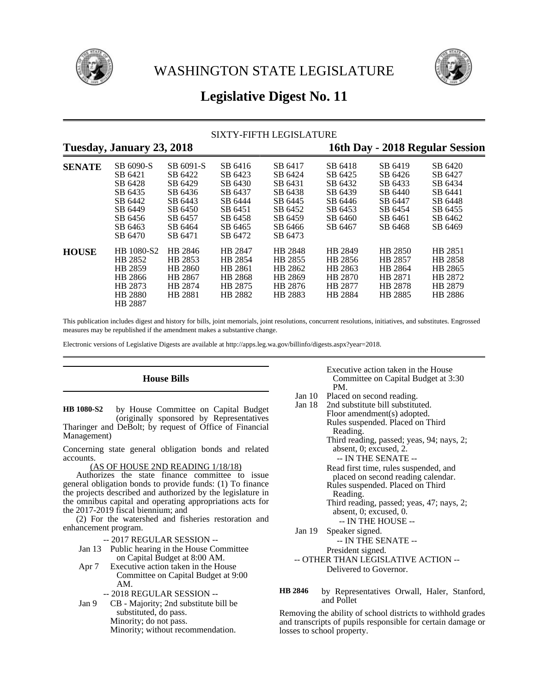



# **Legislative Digest No. 11**

## SIXTY-FIFTH LEGISLATURE

# **Tuesday, January 23, 2018 16th Day - 2018 Regular Session**

| $\cdot$ |                                                                                                |                                                                                        |                                                                                      |                                                                                      |                                                                                      |                                                                                      |                                                                                      |
|---------|------------------------------------------------------------------------------------------------|----------------------------------------------------------------------------------------|--------------------------------------------------------------------------------------|--------------------------------------------------------------------------------------|--------------------------------------------------------------------------------------|--------------------------------------------------------------------------------------|--------------------------------------------------------------------------------------|
| SENATE  | SB 6090-S<br>SB 6421<br>SB 6428<br>SB 6435<br>SB 6442<br>SB 6449<br>SB 6456<br>SB 6463         | SB 6091-S<br>SB 6422<br>SB 6429<br>SB 6436<br>SB 6443<br>SB 6450<br>SB 6457<br>SB 6464 | SB 6416<br>SB 6423<br>SB 6430<br>SB 6437<br>SB 6444<br>SB 6451<br>SB 6458<br>SB 6465 | SB 6417<br>SB 6424<br>SB 6431<br>SB 6438<br>SB 6445<br>SB 6452<br>SB 6459<br>SB 6466 | SB 6418<br>SB 6425<br>SB 6432<br>SB 6439<br>SB 6446<br>SB 6453<br>SB 6460<br>SB 6467 | SB 6419<br>SB 6426<br>SB 6433<br>SB 6440<br>SB 6447<br>SB 6454<br>SB 6461<br>SB 6468 | SB 6420<br>SB 6427<br>SB 6434<br>SB 6441<br>SB 6448<br>SB 6455<br>SB 6462<br>SB 6469 |
| HOUSE   | SB 6470<br>HB 1080-S2<br>HB 2852<br>HB 2859<br>HB 2866<br>HB 2873<br><b>HB</b> 2880<br>HB 2887 | SB 6471<br>HB 2846<br>HB 2853<br>HB 2860<br>HB 2867<br>HB 2874<br>HB 2881              | SB 6472<br>HB 2847<br>HB 2854<br>HB 2861<br>HB 2868<br>HB 2875<br>HB 2882            | SB 6473<br>HB 2848<br>HB 2855<br>HB 2862<br>HB 2869<br>HB 2876<br>HB 2883            | HB 2849<br>HB 2856<br>HB 2863<br>HB 2870<br>HB 2877<br>HB 2884                       | HB 2850<br>HB 2857<br>HB 2864<br>HB 2871<br>HB 2878<br>HB 2885                       | HB 2851<br>HB 2858<br>HB 2865<br>HB 2872<br>HB 2879<br>HB 2886                       |

This publication includes digest and history for bills, joint memorials, joint resolutions, concurrent resolutions, initiatives, and substitutes. Engrossed measures may be republished if the amendment makes a substantive change.

Electronic versions of Legislative Digests are available at http://apps.leg.wa.gov/billinfo/digests.aspx?year=2018.

### **House Bills**

by House Committee on Capital Budget (originally sponsored by Representatives Tharinger and DeBolt; by request of Office of Financial Management) **HB 1080-S2**

Concerning state general obligation bonds and related accounts.

(AS OF HOUSE 2ND READING 1/18/18)

Authorizes the state finance committee to issue general obligation bonds to provide funds: (1) To finance the projects described and authorized by the legislature in the omnibus capital and operating appropriations acts for the 2017-2019 fiscal biennium; and

(2) For the watershed and fisheries restoration and enhancement program.

-- 2017 REGULAR SESSION --

Jan 13 Public hearing in the House Committee on Capital Budget at 8:00 AM.

- Apr 7 Executive action taken in the House Committee on Capital Budget at 9:00 AM.
- -- 2018 REGULAR SESSION -- Jan 9 CB - Majority; 2nd substitute bill be

substituted, do pass.

Minority; do not pass.

Minority; without recommendation.

Executive action taken in the House Committee on Capital Budget at 3:30 PM.

- Jan 10 Placed on second reading.<br>Jan 18 2nd substitute bill substitute
- 2nd substitute bill substituted. Floor amendment(s) adopted. Rules suspended. Placed on Third Reading. Third reading, passed; yeas, 94; nays, 2; absent, 0; excused, 2. -- IN THE SENATE -- Read first time, rules suspended, and placed on second reading calendar. Rules suspended. Placed on Third Reading. Third reading, passed; yeas, 47; nays, 2; absent, 0; excused, 0. -- IN THE HOUSE -- Jan 19 Speaker signed. -- IN THE SENATE -- President signed. -- OTHER THAN LEGISLATIVE ACTION -- Delivered to Governor.
- by Representatives Orwall, Haler, Stanford, and Pollet **HB 2846**

Removing the ability of school districts to withhold grades and transcripts of pupils responsible for certain damage or losses to school property.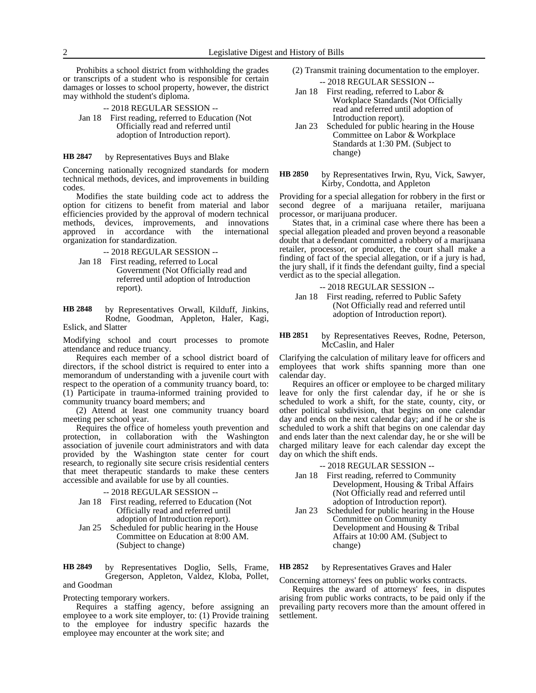Prohibits a school district from withholding the grades or transcripts of a student who is responsible for certain damages or losses to school property, however, the district may withhold the student's diploma.

-- 2018 REGULAR SESSION -- Jan 18 First reading, referred to Education (Not Officially read and referred until adoption of Introduction report).

#### by Representatives Buys and Blake **HB 2847**

Concerning nationally recognized standards for modern technical methods, devices, and improvements in building codes.

Modifies the state building code act to address the option for citizens to benefit from material and labor efficiencies provided by the approval of modern technical methods, devices, improvements, and innovations approved in accordance with the international in accordance with the organization for standardization.

-- 2018 REGULAR SESSION --

Jan 18 First reading, referred to Local Government (Not Officially read and referred until adoption of Introduction report).

by Representatives Orwall, Kilduff, Jinkins, Rodne, Goodman, Appleton, Haler, Kagi, Eslick, and Slatter **HB 2848**

Modifying school and court processes to promote attendance and reduce truancy.

Requires each member of a school district board of directors, if the school district is required to enter into a memorandum of understanding with a juvenile court with respect to the operation of a community truancy board, to: (1) Participate in trauma-informed training provided to community truancy board members; and

(2) Attend at least one community truancy board meeting per school year.

Requires the office of homeless youth prevention and protection, in collaboration with the Washington association of juvenile court administrators and with data provided by the Washington state center for court research, to regionally site secure crisis residential centers that meet therapeutic standards to make these centers accessible and available for use by all counties.

-- 2018 REGULAR SESSION --

- Jan 18 First reading, referred to Education (Not Officially read and referred until adoption of Introduction report).
- Jan 25 Scheduled for public hearing in the House Committee on Education at 8:00 AM. (Subject to change)

by Representatives Doglio, Sells, Frame, Gregerson, Appleton, Valdez, Kloba, Pollet, and Goodman **HB 2849**

### Protecting temporary workers.

Requires a staffing agency, before assigning an employee to a work site employer, to: (1) Provide training to the employee for industry specific hazards the employee may encounter at the work site; and

- (2) Transmit training documentation to the employer. -- 2018 REGULAR SESSION --
- Jan 18 First reading, referred to Labor & Workplace Standards (Not Officially read and referred until adoption of Introduction report).
- Jan 23 Scheduled for public hearing in the House Committee on Labor & Workplace Standards at 1:30 PM. (Subject to change)
- by Representatives Irwin, Ryu, Vick, Sawyer, Kirby, Condotta, and Appleton **HB 2850**

Providing for a special allegation for robbery in the first or second degree of a marijuana retailer, marijuana processor, or marijuana producer.

States that, in a criminal case where there has been a special allegation pleaded and proven beyond a reasonable doubt that a defendant committed a robbery of a marijuana retailer, processor, or producer, the court shall make a finding of fact of the special allegation, or if a jury is had, the jury shall, if it finds the defendant guilty, find a special verdict as to the special allegation.

-- 2018 REGULAR SESSION -- Jan 18 First reading, referred to Public Safety (Not Officially read and referred until adoption of Introduction report).

by Representatives Reeves, Rodne, Peterson, McCaslin, and Haler **HB 2851**

Clarifying the calculation of military leave for officers and employees that work shifts spanning more than one calendar day.

Requires an officer or employee to be charged military leave for only the first calendar day, if he or she is scheduled to work a shift, for the state, county, city, or other political subdivision, that begins on one calendar day and ends on the next calendar day; and if he or she is scheduled to work a shift that begins on one calendar day and ends later than the next calendar day, he or she will be charged military leave for each calendar day except the day on which the shift ends.

-- 2018 REGULAR SESSION --

- Jan 18 First reading, referred to Community Development, Housing & Tribal Affairs (Not Officially read and referred until adoption of Introduction report).
- Jan 23 Scheduled for public hearing in the House Committee on Community Development and Housing & Tribal Affairs at 10:00 AM. (Subject to change)

#### by Representatives Graves and Haler **HB 2852**

Concerning attorneys' fees on public works contracts.

Requires the award of attorneys' fees, in disputes arising from public works contracts, to be paid only if the prevailing party recovers more than the amount offered in settlement.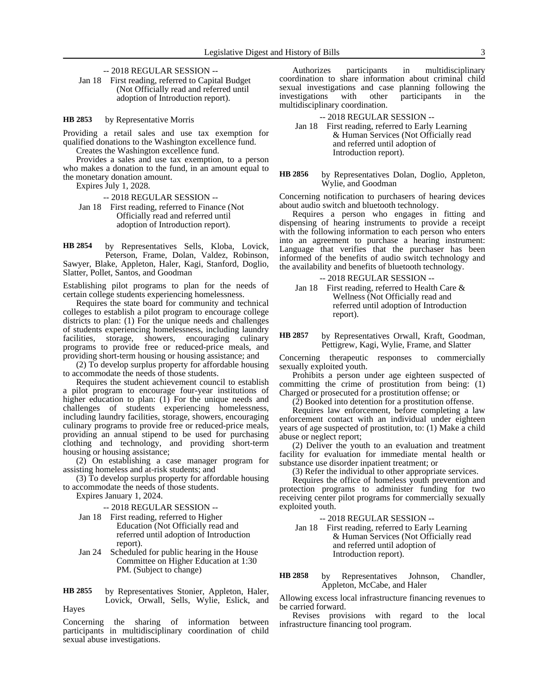-- 2018 REGULAR SESSION --

Jan 18 First reading, referred to Capital Budget (Not Officially read and referred until adoption of Introduction report).

by Representative Morris **HB 2853**

Providing a retail sales and use tax exemption for qualified donations to the Washington excellence fund. Creates the Washington excellence fund.

Provides a sales and use tax exemption, to a person who makes a donation to the fund, in an amount equal to the monetary donation amount.

Expires July 1, 2028.

-- 2018 REGULAR SESSION --

Jan 18 First reading, referred to Finance (Not Officially read and referred until adoption of Introduction report).

by Representatives Sells, Kloba, Lovick, Peterson, Frame, Dolan, Valdez, Robinson, Sawyer, Blake, Appleton, Haler, Kagi, Stanford, Doglio, Slatter, Pollet, Santos, and Goodman **HB 2854**

Establishing pilot programs to plan for the needs of certain college students experiencing homelessness.

Requires the state board for community and technical colleges to establish a pilot program to encourage college districts to plan: (1) For the unique needs and challenges of students experiencing homelessness, including laundry facilities, storage, showers, encouraging culinary programs to provide free or reduced-price meals, and providing short-term housing or housing assistance; and

(2) To develop surplus property for affordable housing to accommodate the needs of those students.

Requires the student achievement council to establish a pilot program to encourage four-year institutions of higher education to plan: (1) For the unique needs and challenges of students experiencing homelessness, including laundry facilities, storage, showers, encouraging culinary programs to provide free or reduced-price meals, providing an annual stipend to be used for purchasing clothing and technology, and providing short-term housing or housing assistance;

(2) On establishing a case manager program for assisting homeless and at-risk students; and

(3) To develop surplus property for affordable housing to accommodate the needs of those students.

Expires January 1, 2024.

-- 2018 REGULAR SESSION --

- Jan 18 First reading, referred to Higher Education (Not Officially read and referred until adoption of Introduction report).
- Jan 24 Scheduled for public hearing in the House Committee on Higher Education at 1:30 PM. (Subject to change)

by Representatives Stonier, Appleton, Haler, Lovick, Orwall, Sells, Wylie, Eslick, and Hayes **HB 2855**

Concerning the sharing of information between participants in multidisciplinary coordination of child sexual abuse investigations.

Authorizes participants in multidisciplinary coordination to share information about criminal child sexual investigations and case planning following the investigations with other participants in the multidisciplinary coordination.

-- 2018 REGULAR SESSION --

Jan 18 First reading, referred to Early Learning & Human Services (Not Officially read and referred until adoption of Introduction report).

by Representatives Dolan, Doglio, Appleton, Wylie, and Goodman **HB 2856**

Concerning notification to purchasers of hearing devices about audio switch and bluetooth technology.

Requires a person who engages in fitting and dispensing of hearing instruments to provide a receipt with the following information to each person who enters into an agreement to purchase a hearing instrument: Language that verifies that the purchaser has been informed of the benefits of audio switch technology and the availability and benefits of bluetooth technology.

-- 2018 REGULAR SESSION --

Jan 18 First reading, referred to Health Care & Wellness (Not Officially read and referred until adoption of Introduction report).

by Representatives Orwall, Kraft, Goodman, Pettigrew, Kagi, Wylie, Frame, and Slatter **HB 2857**

Concerning therapeutic responses to commercially sexually exploited youth.

Prohibits a person under age eighteen suspected of committing the crime of prostitution from being: (1) Charged or prosecuted for a prostitution offense; or

(2) Booked into detention for a prostitution offense.

Requires law enforcement, before completing a law enforcement contact with an individual under eighteen years of age suspected of prostitution, to: (1) Make a child abuse or neglect report;

(2) Deliver the youth to an evaluation and treatment facility for evaluation for immediate mental health or substance use disorder inpatient treatment; or

(3) Refer the individual to other appropriate services.

Requires the office of homeless youth prevention and protection programs to administer funding for two receiving center pilot programs for commercially sexually exploited youth.

-- 2018 REGULAR SESSION --

Jan 18 First reading, referred to Early Learning & Human Services (Not Officially read and referred until adoption of Introduction report).

by Representatives Johnson, Chandler, Appleton, McCabe, and Haler **HB 2858**

Allowing excess local infrastructure financing revenues to be carried forward.

Revises provisions with regard to the local infrastructure financing tool program.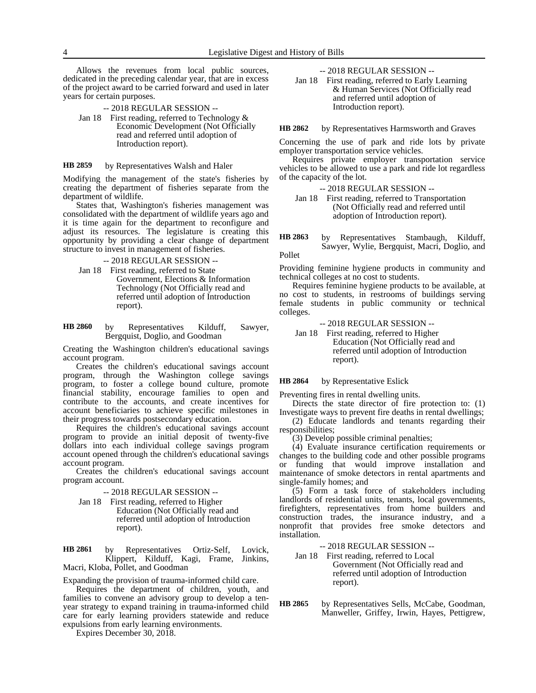Allows the revenues from local public sources, dedicated in the preceding calendar year, that are in excess of the project award to be carried forward and used in later years for certain purposes.

-- 2018 REGULAR SESSION --

Jan 18 First reading, referred to Technology & Economic Development (Not Officially read and referred until adoption of Introduction report).

#### by Representatives Walsh and Haler **HB 2859**

Modifying the management of the state's fisheries by creating the department of fisheries separate from the department of wildlife.

States that, Washington's fisheries management was consolidated with the department of wildlife years ago and it is time again for the department to reconfigure and adjust its resources. The legislature is creating this opportunity by providing a clear change of department structure to invest in management of fisheries.

-- 2018 REGULAR SESSION --

Jan 18 First reading, referred to State Government, Elections & Information Technology (Not Officially read and referred until adoption of Introduction report).

by Representatives Kilduff, Sawyer, Bergquist, Doglio, and Goodman **HB 2860**

Creating the Washington children's educational savings account program.

Creates the children's educational savings account program, through the Washington college savings program, to foster a college bound culture, promote financial stability, encourage families to open and contribute to the accounts, and create incentives for account beneficiaries to achieve specific milestones in their progress towards postsecondary education.

Requires the children's educational savings account program to provide an initial deposit of twenty-five dollars into each individual college savings program account opened through the children's educational savings account program.

Creates the children's educational savings account program account.

-- 2018 REGULAR SESSION --

Jan 18 First reading, referred to Higher Education (Not Officially read and referred until adoption of Introduction report).

by Representatives Ortiz-Self, Lovick, Klippert, Kilduff, Kagi, Frame, Jinkins, Macri, Kloba, Pollet, and Goodman **HB 2861**

Expanding the provision of trauma-informed child care.

Requires the department of children, youth, and families to convene an advisory group to develop a tenyear strategy to expand training in trauma-informed child care for early learning providers statewide and reduce expulsions from early learning environments.

Expires December 30, 2018.

-- 2018 REGULAR SESSION --

Jan 18 First reading, referred to Early Learning & Human Services (Not Officially read and referred until adoption of Introduction report).

by Representatives Harmsworth and Graves **HB 2862**

Concerning the use of park and ride lots by private employer transportation service vehicles.

Requires private employer transportation service vehicles to be allowed to use a park and ride lot regardless of the capacity of the lot.

-- 2018 REGULAR SESSION --

Jan 18 First reading, referred to Transportation (Not Officially read and referred until adoption of Introduction report).

by Representatives Stambaugh, Kilduff, Sawyer, Wylie, Bergquist, Macri, Doglio, and **HB 2863**

Pollet

Providing feminine hygiene products in community and technical colleges at no cost to students.

Requires feminine hygiene products to be available, at no cost to students, in restrooms of buildings serving female students in public community or technical colleges.

-- 2018 REGULAR SESSION --

Jan 18 First reading, referred to Higher Education (Not Officially read and referred until adoption of Introduction report).

#### by Representative Eslick **HB 2864**

Preventing fires in rental dwelling units.

Directs the state director of fire protection to: (1) Investigate ways to prevent fire deaths in rental dwellings;

(2) Educate landlords and tenants regarding their responsibilities;

(3) Develop possible criminal penalties;

(4) Evaluate insurance certification requirements or changes to the building code and other possible programs or funding that would improve installation and maintenance of smoke detectors in rental apartments and single-family homes; and

(5) Form a task force of stakeholders including landlords of residential units, tenants, local governments, firefighters, representatives from home builders and construction trades, the insurance industry, and a nonprofit that provides free smoke detectors and installation.

- -- 2018 REGULAR SESSION --
- Jan 18 First reading, referred to Local Government (Not Officially read and referred until adoption of Introduction report).
- by Representatives Sells, McCabe, Goodman, Manweller, Griffey, Irwin, Hayes, Pettigrew, **HB 2865**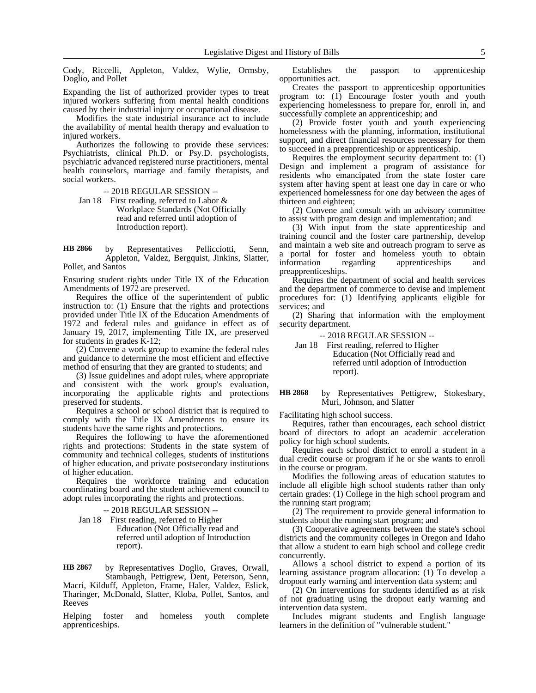Cody, Riccelli, Appleton, Valdez, Wylie, Ormsby, Doglio, and Pollet

Expanding the list of authorized provider types to treat injured workers suffering from mental health conditions caused by their industrial injury or occupational disease.

Modifies the state industrial insurance act to include the availability of mental health therapy and evaluation to injured workers.

Authorizes the following to provide these services: Psychiatrists, clinical Ph.D. or Psy.D. psychologists, psychiatric advanced registered nurse practitioners, mental health counselors, marriage and family therapists, and social workers.

-- 2018 REGULAR SESSION --

Jan 18 First reading, referred to Labor & Workplace Standards (Not Officially read and referred until adoption of Introduction report).

by Representatives Pellicciotti, Senn, Appleton, Valdez, Bergquist, Jinkins, Slatter, Pollet, and Santos **HB 2866**

Ensuring student rights under Title IX of the Education Amendments of 1972 are preserved.

Requires the office of the superintendent of public instruction to: (1) Ensure that the rights and protections provided under Title IX of the Education Amendments of 1972 and federal rules and guidance in effect as of January 19, 2017, implementing Title IX, are preserved for students in grades K-12;

(2) Convene a work group to examine the federal rules and guidance to determine the most efficient and effective method of ensuring that they are granted to students; and

(3) Issue guidelines and adopt rules, where appropriate and consistent with the work group's evaluation, incorporating the applicable rights and protections preserved for students.

Requires a school or school district that is required to comply with the Title IX Amendments to ensure its students have the same rights and protections.

Requires the following to have the aforementioned rights and protections: Students in the state system of community and technical colleges, students of institutions of higher education, and private postsecondary institutions of higher education.

Requires the workforce training and education coordinating board and the student achievement council to adopt rules incorporating the rights and protections.

-- 2018 REGULAR SESSION --

Jan 18 First reading, referred to Higher Education (Not Officially read and referred until adoption of Introduction report).

by Representatives Doglio, Graves, Orwall, Stambaugh, Pettigrew, Dent, Peterson, Senn, Macri, Kilduff, Appleton, Frame, Haler, Valdez, Eslick, Tharinger, McDonald, Slatter, Kloba, Pollet, Santos, and **HB 2867**

Helping foster and homeless youth complete apprenticeships.

Reeves

Establishes the passport to apprenticeship opportunities act.

Creates the passport to apprenticeship opportunities program to: (1) Encourage foster youth and youth experiencing homelessness to prepare for, enroll in, and successfully complete an apprenticeship; and

(2) Provide foster youth and youth experiencing homelessness with the planning, information, institutional support, and direct financial resources necessary for them to succeed in a preapprenticeship or apprenticeship.

Requires the employment security department to: (1) Design and implement a program of assistance for residents who emancipated from the state foster care system after having spent at least one day in care or who experienced homelessness for one day between the ages of thirteen and eighteen;

(2) Convene and consult with an advisory committee to assist with program design and implementation; and

(3) With input from the state apprenticeship and training council and the foster care partnership, develop and maintain a web site and outreach program to serve as a portal for foster and homeless youth to obtain information regarding apprenticeships and preapprenticeships.

Requires the department of social and health services and the department of commerce to devise and implement procedures for: (1) Identifying applicants eligible for services; and

(2) Sharing that information with the employment security department.

-- 2018 REGULAR SESSION --

Jan 18 First reading, referred to Higher Education (Not Officially read and referred until adoption of Introduction report).

#### by Representatives Pettigrew, Stokesbary, Muri, Johnson, and Slatter **HB 2868**

Facilitating high school success.

Requires, rather than encourages, each school district board of directors to adopt an academic acceleration policy for high school students.

Requires each school district to enroll a student in a dual credit course or program if he or she wants to enroll in the course or program.

Modifies the following areas of education statutes to include all eligible high school students rather than only certain grades: (1) College in the high school program and the running start program;

(2) The requirement to provide general information to students about the running start program; and

(3) Cooperative agreements between the state's school districts and the community colleges in Oregon and Idaho that allow a student to earn high school and college credit concurrently.

Allows a school district to expend a portion of its learning assistance program allocation: (1) To develop a dropout early warning and intervention data system; and

(2) On interventions for students identified as at risk of not graduating using the dropout early warning and intervention data system.

Includes migrant students and English language learners in the definition of "vulnerable student."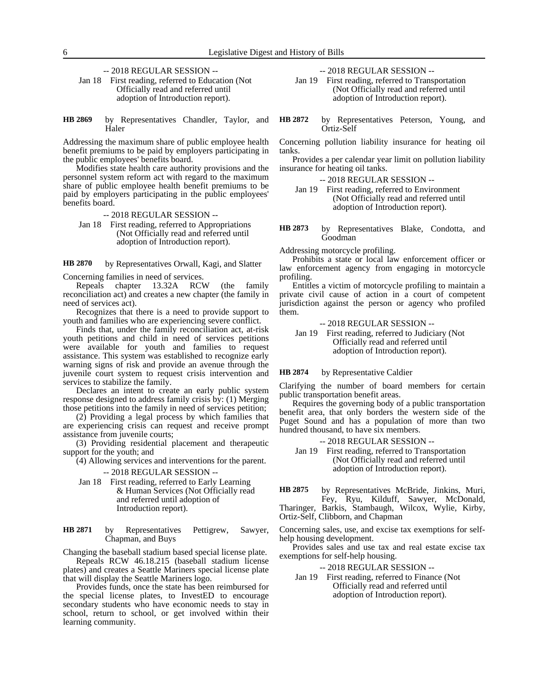-- 2018 REGULAR SESSION --

- Jan 18 First reading, referred to Education (Not Officially read and referred until adoption of Introduction report).
- by Representatives Chandler, Taylor, and Haler **HB 2869**

Addressing the maximum share of public employee health benefit premiums to be paid by employers participating in the public employees' benefits board.

Modifies state health care authority provisions and the personnel system reform act with regard to the maximum share of public employee health benefit premiums to be paid by employers participating in the public employees' benefits board.

- -- 2018 REGULAR SESSION --
- Jan 18 First reading, referred to Appropriations (Not Officially read and referred until adoption of Introduction report).

by Representatives Orwall, Kagi, and Slatter Concerning families in need of services. **HB 2870**

Repeals chapter 13.32A RCW (the family reconciliation act) and creates a new chapter (the family in need of services act).

Recognizes that there is a need to provide support to youth and families who are experiencing severe conflict.

Finds that, under the family reconciliation act, at-risk youth petitions and child in need of services petitions were available for youth and families to request assistance. This system was established to recognize early warning signs of risk and provide an avenue through the juvenile court system to request crisis intervention and services to stabilize the family.

Declares an intent to create an early public system response designed to address family crisis by: (1) Merging those petitions into the family in need of services petition;

(2) Providing a legal process by which families that are experiencing crisis can request and receive prompt assistance from juvenile courts;

(3) Providing residential placement and therapeutic support for the youth; and

(4) Allowing services and interventions for the parent.

# -- 2018 REGULAR SESSION --

Jan 18 First reading, referred to Early Learning & Human Services (Not Officially read and referred until adoption of Introduction report).

by Representatives Pettigrew, Sawyer, Chapman, and Buys **HB 2871**

Changing the baseball stadium based special license plate. Repeals RCW 46.18.215 (baseball stadium license

plates) and creates a Seattle Mariners special license plate that will display the Seattle Mariners logo.

Provides funds, once the state has been reimbursed for the special license plates, to InvestED to encourage secondary students who have economic needs to stay in school, return to school, or get involved within their learning community.

-- 2018 REGULAR SESSION --

- Jan 19 First reading, referred to Transportation (Not Officially read and referred until adoption of Introduction report).
- by Representatives Peterson, Young, and Ortiz-Self **HB 2872**

Concerning pollution liability insurance for heating oil tanks.

Provides a per calendar year limit on pollution liability insurance for heating oil tanks.

-- 2018 REGULAR SESSION --

- Jan 19 First reading, referred to Environment (Not Officially read and referred until adoption of Introduction report).
- by Representatives Blake, Condotta, and Goodman **HB 2873**

Addressing motorcycle profiling.

Prohibits a state or local law enforcement officer or law enforcement agency from engaging in motorcycle profiling.

Entitles a victim of motorcycle profiling to maintain a private civil cause of action in a court of competent jurisdiction against the person or agency who profiled them.

-- 2018 REGULAR SESSION --

### Jan 19 First reading, referred to Judiciary (Not Officially read and referred until adoption of Introduction report).

by Representative Caldier **HB 2874**

Clarifying the number of board members for certain public transportation benefit areas.

Requires the governing body of a public transportation benefit area, that only borders the western side of the Puget Sound and has a population of more than two hundred thousand, to have six members.

-- 2018 REGULAR SESSION --

- Jan 19 First reading, referred to Transportation (Not Officially read and referred until adoption of Introduction report).
- by Representatives McBride, Jinkins, Muri, Fey, Ryu, Kilduff, Sawyer, McDonald, Tharinger, Barkis, Stambaugh, Wilcox, Wylie, Kirby, **HB 2875**

Ortiz-Self, Clibborn, and Chapman

Concerning sales, use, and excise tax exemptions for selfhelp housing development.

Provides sales and use tax and real estate excise tax exemptions for self-help housing.

-- 2018 REGULAR SESSION --

Jan 19 First reading, referred to Finance (Not Officially read and referred until adoption of Introduction report).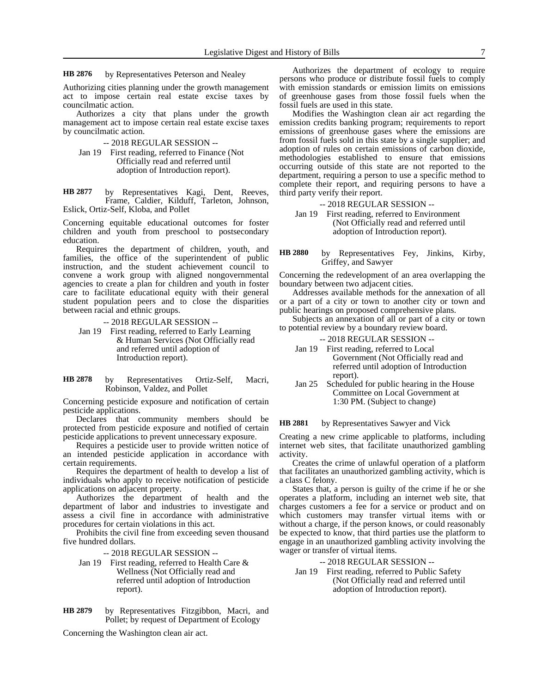#### by Representatives Peterson and Nealey **HB 2876**

Authorizing cities planning under the growth management act to impose certain real estate excise taxes by councilmatic action.

Authorizes a city that plans under the growth management act to impose certain real estate excise taxes by councilmatic action.

-- 2018 REGULAR SESSION --

Jan 19 First reading, referred to Finance (Not Officially read and referred until adoption of Introduction report).

by Representatives Kagi, Dent, Reeves, Frame, Caldier, Kilduff, Tarleton, Johnson, Eslick, Ortiz-Self, Kloba, and Pollet **HB 2877**

Concerning equitable educational outcomes for foster children and youth from preschool to postsecondary education.

Requires the department of children, youth, and families, the office of the superintendent of public instruction, and the student achievement council to convene a work group with aligned nongovernmental agencies to create a plan for children and youth in foster care to facilitate educational equity with their general student population peers and to close the disparities between racial and ethnic groups.

-- 2018 REGULAR SESSION --

Jan 19 First reading, referred to Early Learning & Human Services (Not Officially read and referred until adoption of Introduction report).

#### by Representatives Ortiz-Self, Macri, Robinson, Valdez, and Pollet **HB 2878**

Concerning pesticide exposure and notification of certain pesticide applications.

Declares that community members should be protected from pesticide exposure and notified of certain pesticide applications to prevent unnecessary exposure.

Requires a pesticide user to provide written notice of an intended pesticide application in accordance with certain requirements.

Requires the department of health to develop a list of individuals who apply to receive notification of pesticide applications on adjacent property.

Authorizes the department of health and the department of labor and industries to investigate and assess a civil fine in accordance with administrative procedures for certain violations in this act.

Prohibits the civil fine from exceeding seven thousand five hundred dollars.

-- 2018 REGULAR SESSION --

- Jan 19 First reading, referred to Health Care & Wellness (Not Officially read and referred until adoption of Introduction report).
- by Representatives Fitzgibbon, Macri, and Pollet; by request of Department of Ecology **HB 2879**

Concerning the Washington clean air act.

Authorizes the department of ecology to require persons who produce or distribute fossil fuels to comply with emission standards or emission limits on emissions of greenhouse gases from those fossil fuels when the fossil fuels are used in this state.

Modifies the Washington clean air act regarding the emission credits banking program; requirements to report emissions of greenhouse gases where the emissions are from fossil fuels sold in this state by a single supplier; and adoption of rules on certain emissions of carbon dioxide, methodologies established to ensure that emissions occurring outside of this state are not reported to the department, requiring a person to use a specific method to complete their report, and requiring persons to have a third party verify their report.

-- 2018 REGULAR SESSION --

Jan 19 First reading, referred to Environment (Not Officially read and referred until adoption of Introduction report).

by Representatives Fey, Jinkins, Kirby, Griffey, and Sawyer **HB 2880**

Concerning the redevelopment of an area overlapping the boundary between two adjacent cities.

Addresses available methods for the annexation of all or a part of a city or town to another city or town and public hearings on proposed comprehensive plans.

Subjects an annexation of all or part of a city or town to potential review by a boundary review board.

- -- 2018 REGULAR SESSION --
- Jan 19 First reading, referred to Local Government (Not Officially read and referred until adoption of Introduction report).
- Jan 25 Scheduled for public hearing in the House Committee on Local Government at 1:30 PM. (Subject to change)

by Representatives Sawyer and Vick **HB 2881**

Creating a new crime applicable to platforms, including internet web sites, that facilitate unauthorized gambling activity.

Creates the crime of unlawful operation of a platform that facilitates an unauthorized gambling activity, which is a class C felony.

States that, a person is guilty of the crime if he or she operates a platform, including an internet web site, that charges customers a fee for a service or product and on which customers may transfer virtual items with or without a charge, if the person knows, or could reasonably be expected to know, that third parties use the platform to engage in an unauthorized gambling activity involving the wager or transfer of virtual items.

-- 2018 REGULAR SESSION --

Jan 19 First reading, referred to Public Safety (Not Officially read and referred until adoption of Introduction report).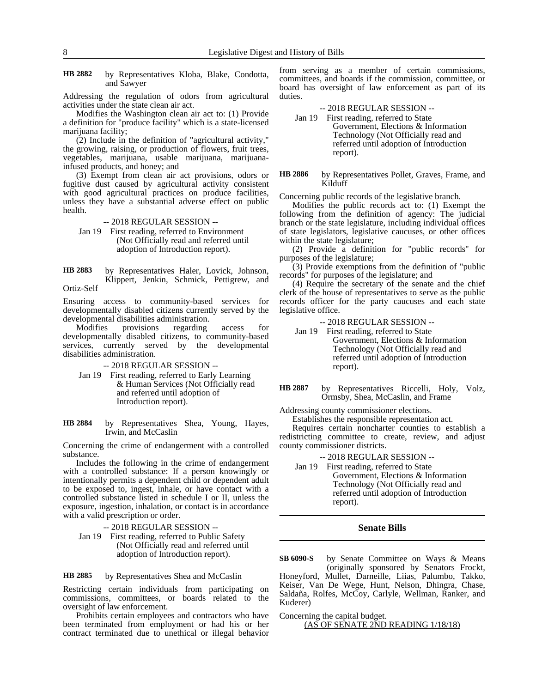by Representatives Kloba, Blake, Condotta, and Sawyer **HB 2882**

Addressing the regulation of odors from agricultural activities under the state clean air act.

Modifies the Washington clean air act to: (1) Provide a definition for "produce facility" which is a state-licensed marijuana facility;

(2) Include in the definition of "agricultural activity," the growing, raising, or production of flowers, fruit trees, vegetables, marijuana, usable marijuana, marijuanainfused products, and honey; and

(3) Exempt from clean air act provisions, odors or fugitive dust caused by agricultural activity consistent with good agricultural practices on produce facilities, unless they have a substantial adverse effect on public health.

-- 2018 REGULAR SESSION --

Jan 19 First reading, referred to Environment (Not Officially read and referred until adoption of Introduction report).

by Representatives Haler, Lovick, Johnson, Klippert, Jenkin, Schmick, Pettigrew, and Ortiz-Self **HB 2883**

Ensuring access to community-based services for developmentally disabled citizens currently served by the developmental disabilities administration.

Modifies provisions regarding access for developmentally disabled citizens, to community-based services, currently served by the developmental disabilities administration.

-- 2018 REGULAR SESSION --

Jan 19 First reading, referred to Early Learning & Human Services (Not Officially read and referred until adoption of Introduction report).

by Representatives Shea, Young, Hayes, Irwin, and McCaslin **HB 2884**

Concerning the crime of endangerment with a controlled substance.

Includes the following in the crime of endangerment with a controlled substance: If a person knowingly or intentionally permits a dependent child or dependent adult to be exposed to, ingest, inhale, or have contact with a controlled substance listed in schedule I or II, unless the exposure, ingestion, inhalation, or contact is in accordance with a valid prescription or order.

-- 2018 REGULAR SESSION --

Jan 19 First reading, referred to Public Safety (Not Officially read and referred until adoption of Introduction report).

by Representatives Shea and McCaslin **HB 2885**

Restricting certain individuals from participating on commissions, committees, or boards related to the oversight of law enforcement.

Prohibits certain employees and contractors who have been terminated from employment or had his or her contract terminated due to unethical or illegal behavior

from serving as a member of certain commissions, committees, and boards if the commission, committee, or board has oversight of law enforcement as part of its duties.

### -- 2018 REGULAR SESSION --

Jan 19 First reading, referred to State Government, Elections & Information Technology (Not Officially read and referred until adoption of Introduction report).

by Representatives Pollet, Graves, Frame, and Kilduff **HB 2886**

Concerning public records of the legislative branch.

Modifies the public records act to: (1) Exempt the following from the definition of agency: The judicial branch or the state legislature, including individual offices of state legislators, legislative caucuses, or other offices within the state legislature;

(2) Provide a definition for "public records" for purposes of the legislature;

(3) Provide exemptions from the definition of "public records" for purposes of the legislature; and

(4) Require the secretary of the senate and the chief clerk of the house of representatives to serve as the public records officer for the party caucuses and each state legislative office.

-- 2018 REGULAR SESSION --

- Jan 19 First reading, referred to State Government, Elections & Information Technology (Not Officially read and referred until adoption of Introduction report).
- by Representatives Riccelli, Holy, Volz, Ormsby, Shea, McCaslin, and Frame **HB 2887**

Addressing county commissioner elections.

Establishes the responsible representation act.

Requires certain noncharter counties to establish a redistricting committee to create, review, and adjust county commissioner districts.

- -- 2018 REGULAR SESSION --
- Jan 19 First reading, referred to State Government, Elections & Information Technology (Not Officially read and referred until adoption of Introduction report).

### **Senate Bills**

by Senate Committee on Ways & Means (originally sponsored by Senators Frockt, Honeyford, Mullet, Darneille, Liias, Palumbo, Takko, Keiser, Van De Wege, Hunt, Nelson, Dhingra, Chase, Saldaña, Rolfes, McCoy, Carlyle, Wellman, Ranker, and Kuderer) **SB 6090-S**

Concerning the capital budget.

### (AS OF SENATE 2ND READING 1/18/18)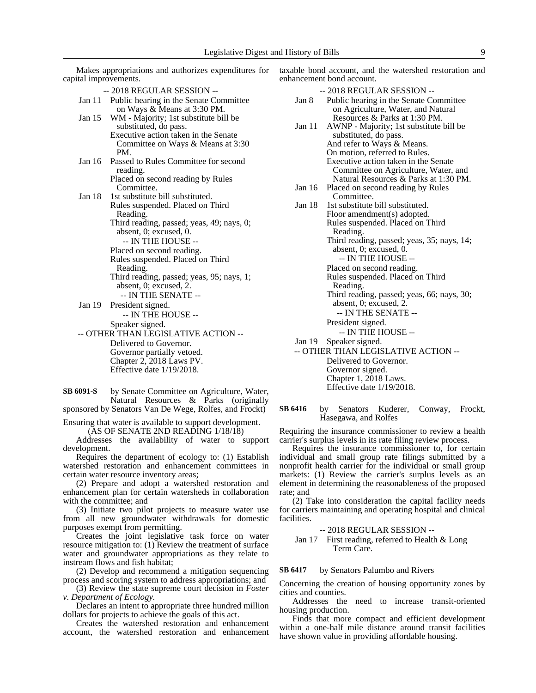capital improvements. -- 2018 REGULAR SESSION -- Jan 11 Public hearing in the Senate Committee on Ways & Means at 3:30 PM. Jan 15 WM - Majority; 1st substitute bill be substituted, do pass. Executive action taken in the Senate Committee on Ways & Means at 3:30 PM. Jan 16 Passed to Rules Committee for second reading. Placed on second reading by Rules **Committee.** Jan 18 1st substitute bill substituted. Rules suspended. Placed on Third Reading. Third reading, passed; yeas, 49; nays, 0; absent, 0; excused, 0. -- IN THE HOUSE -- Placed on second reading. Rules suspended. Placed on Third Reading. Third reading, passed; yeas, 95; nays, 1; absent, 0; excused, 2. -- IN THE SENATE -- Jan 19 President signed. -- IN THE HOUSE -- Speaker signed. -- OTHER THAN LEGISLATIVE ACTION -- Delivered to Governor. Governor partially vetoed. Chapter 2, 2018 Laws PV. Effective date 1/19/2018.

Makes appropriations and authorizes expenditures for

by Senate Committee on Agriculture, Water, Natural Resources & Parks (originally sponsored by Senators Van De Wege, Rolfes, and Frockt) **SB 6091-S**

Ensuring that water is available to support development. (AS OF SENATE 2ND READING 1/18/18)

Addresses the availability of water to support development.

Requires the department of ecology to: (1) Establish watershed restoration and enhancement committees in certain water resource inventory areas;

(2) Prepare and adopt a watershed restoration and enhancement plan for certain watersheds in collaboration with the committee; and

(3) Initiate two pilot projects to measure water use from all new groundwater withdrawals for domestic purposes exempt from permitting.

Creates the joint legislative task force on water resource mitigation to: (1) Review the treatment of surface water and groundwater appropriations as they relate to instream flows and fish habitat;

(2) Develop and recommend a mitigation sequencing process and scoring system to address appropriations; and

(3) Review the state supreme court decision in *Foster v. Department of Ecology.*

Declares an intent to appropriate three hundred million dollars for projects to achieve the goals of this act.

Creates the watershed restoration and enhancement account, the watershed restoration and enhancement taxable bond account, and the watershed restoration and enhancement bond account.

|                                     | -- 2018 REGULAR SESSION --                 |  |  |  |
|-------------------------------------|--------------------------------------------|--|--|--|
| Jan 8                               | Public hearing in the Senate Committee     |  |  |  |
|                                     | on Agriculture, Water, and Natural         |  |  |  |
|                                     | Resources & Parks at 1:30 PM.              |  |  |  |
| Jan 11                              | AWNP - Majority; 1st substitute bill be    |  |  |  |
|                                     | substituted, do pass.                      |  |  |  |
|                                     | And refer to Ways & Means.                 |  |  |  |
|                                     | On motion, referred to Rules.              |  |  |  |
|                                     | Executive action taken in the Senate       |  |  |  |
|                                     | Committee on Agriculture, Water, and       |  |  |  |
|                                     | Natural Resources & Parks at 1:30 PM.      |  |  |  |
| Jan $16$                            | Placed on second reading by Rules          |  |  |  |
|                                     | Committee.                                 |  |  |  |
| Jan 18                              | 1st substitute bill substituted.           |  |  |  |
|                                     | Floor amendment(s) adopted.                |  |  |  |
|                                     | Rules suspended. Placed on Third           |  |  |  |
|                                     | Reading.                                   |  |  |  |
|                                     | Third reading, passed; yeas, 35; nays, 14; |  |  |  |
|                                     | absent, 0; excused, 0.                     |  |  |  |
|                                     | -- IN THE HOUSE --                         |  |  |  |
|                                     | Placed on second reading.                  |  |  |  |
|                                     | Rules suspended. Placed on Third           |  |  |  |
|                                     | Reading.                                   |  |  |  |
|                                     | Third reading, passed; yeas, 66; nays, 30; |  |  |  |
|                                     | absent, 0; excused, 2.                     |  |  |  |
|                                     | -- IN THE SENATE --                        |  |  |  |
|                                     | President signed.                          |  |  |  |
|                                     | -- IN THE HOUSE --                         |  |  |  |
| Jan $19$<br>Speaker signed.         |                                            |  |  |  |
| -- OTHER THAN LEGISLATIVE ACTION -- |                                            |  |  |  |
|                                     | Delivered to Governor.                     |  |  |  |
|                                     | Governor signed.                           |  |  |  |

by Senators Kuderer, Conway, Frockt, Hasegawa, and Rolfes **SB 6416**

Chapter 1, 2018 Laws. Effective date 1/19/2018.

Requiring the insurance commissioner to review a health carrier's surplus levels in its rate filing review process.

Requires the insurance commissioner to, for certain individual and small group rate filings submitted by a nonprofit health carrier for the individual or small group markets: (1) Review the carrier's surplus levels as an element in determining the reasonableness of the proposed rate; and

(2) Take into consideration the capital facility needs for carriers maintaining and operating hospital and clinical facilities.

### -- 2018 REGULAR SESSION --

Jan 17 First reading, referred to Health & Long Term Care.

by Senators Palumbo and Rivers **SB 6417**

Concerning the creation of housing opportunity zones by cities and counties.

Addresses the need to increase transit-oriented housing production.

Finds that more compact and efficient development within a one-half mile distance around transit facilities have shown value in providing affordable housing.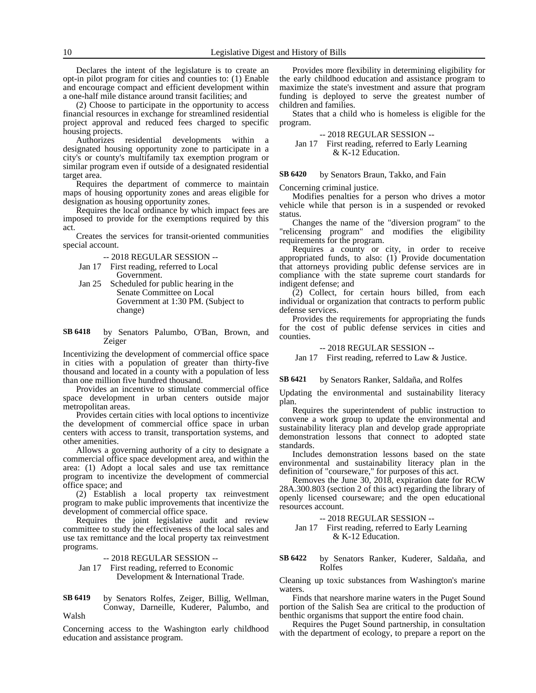Declares the intent of the legislature is to create an opt-in pilot program for cities and counties to: (1) Enable and encourage compact and efficient development within a one-half mile distance around transit facilities; and

(2) Choose to participate in the opportunity to access financial resources in exchange for streamlined residential project approval and reduced fees charged to specific housing projects.

Authorizes residential developments within a designated housing opportunity zone to participate in a city's or county's multifamily tax exemption program or similar program even if outside of a designated residential target area.

Requires the department of commerce to maintain maps of housing opportunity zones and areas eligible for designation as housing opportunity zones.

Requires the local ordinance by which impact fees are imposed to provide for the exemptions required by this act.

Creates the services for transit-oriented communities special account.

-- 2018 REGULAR SESSION --

- Jan 17 First reading, referred to Local Government.
- Jan 25 Scheduled for public hearing in the Senate Committee on Local Government at 1:30 PM. (Subject to change)
- by Senators Palumbo, O'Ban, Brown, and Zeiger **SB 6418**

Incentivizing the development of commercial office space in cities with a population of greater than thirty-five thousand and located in a county with a population of less than one million five hundred thousand.

Provides an incentive to stimulate commercial office space development in urban centers outside major metropolitan areas.

Provides certain cities with local options to incentivize the development of commercial office space in urban centers with access to transit, transportation systems, and other amenities.

Allows a governing authority of a city to designate a commercial office space development area, and within the area: (1) Adopt a local sales and use tax remittance program to incentivize the development of commercial office space; and

(2) Establish a local property tax reinvestment program to make public improvements that incentivize the development of commercial office space.

Requires the joint legislative audit and review committee to study the effectiveness of the local sales and use tax remittance and the local property tax reinvestment programs.

-- 2018 REGULAR SESSION --

Jan 17 First reading, referred to Economic Development & International Trade.

by Senators Rolfes, Zeiger, Billig, Wellman, Conway, Darneille, Kuderer, Palumbo, and Walsh **SB 6419**

Concerning access to the Washington early childhood education and assistance program.

Provides more flexibility in determining eligibility for the early childhood education and assistance program to maximize the state's investment and assure that program funding is deployed to serve the greatest number of children and families.

States that a child who is homeless is eligible for the program.

### -- 2018 REGULAR SESSION --

Jan 17 First reading, referred to Early Learning & K-12 Education.

by Senators Braun, Takko, and Fain **SB 6420**

Concerning criminal justice.

Modifies penalties for a person who drives a motor vehicle while that person is in a suspended or revoked status.

Changes the name of the "diversion program" to the "relicensing program" and modifies the eligibility requirements for the program.

Requires a county or city, in order to receive appropriated funds, to also: (1) Provide documentation that attorneys providing public defense services are in compliance with the state supreme court standards for indigent defense; and

(2) Collect, for certain hours billed, from each individual or organization that contracts to perform public defense services.

Provides the requirements for appropriating the funds for the cost of public defense services in cities and counties.

### -- 2018 REGULAR SESSION --

Jan 17 First reading, referred to Law & Justice.

#### by Senators Ranker, Saldaña, and Rolfes **SB 6421**

Updating the environmental and sustainability literacy plan.

Requires the superintendent of public instruction to convene a work group to update the environmental and sustainability literacy plan and develop grade appropriate demonstration lessons that connect to adopted state standards.

Includes demonstration lessons based on the state environmental and sustainability literacy plan in the definition of "courseware," for purposes of this act.

Removes the June 30, 2018, expiration date for RCW 28A.300.803 (section 2 of this act) regarding the library of openly licensed courseware; and the open educational resources account.

-- 2018 REGULAR SESSION --

Jan 17 First reading, referred to Early Learning & K-12 Education.

by Senators Ranker, Kuderer, Saldaña, and Rolfes **SB 6422**

Cleaning up toxic substances from Washington's marine waters.

Finds that nearshore marine waters in the Puget Sound portion of the Salish Sea are critical to the production of benthic organisms that support the entire food chain.

Requires the Puget Sound partnership, in consultation with the department of ecology, to prepare a report on the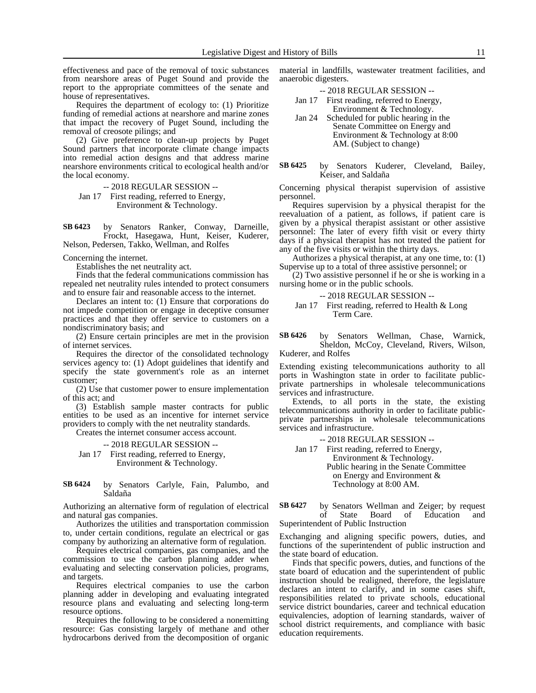effectiveness and pace of the removal of toxic substances from nearshore areas of Puget Sound and provide the report to the appropriate committees of the senate and house of representatives.

Requires the department of ecology to: (1) Prioritize funding of remedial actions at nearshore and marine zones that impact the recovery of Puget Sound, including the removal of creosote pilings; and

(2) Give preference to clean-up projects by Puget Sound partners that incorporate climate change impacts into remedial action designs and that address marine nearshore environments critical to ecological health and/or the local economy.

-- 2018 REGULAR SESSION --

Jan 17 First reading, referred to Energy, Environment & Technology.

by Senators Ranker, Conway, Darneille, Frockt, Hasegawa, Hunt, Keiser, Kuderer, Nelson, Pedersen, Takko, Wellman, and Rolfes **SB 6423**

Concerning the internet.

Establishes the net neutrality act.

Finds that the federal communications commission has repealed net neutrality rules intended to protect consumers and to ensure fair and reasonable access to the internet.

Declares an intent to: (1) Ensure that corporations do not impede competition or engage in deceptive consumer practices and that they offer service to customers on a nondiscriminatory basis; and

(2) Ensure certain principles are met in the provision of internet services.

Requires the director of the consolidated technology services agency to: (1) Adopt guidelines that identify and specify the state government's role as an internet customer;

(2) Use that customer power to ensure implementation of this act; and

(3) Establish sample master contracts for public entities to be used as an incentive for internet service providers to comply with the net neutrality standards.

Creates the internet consumer access account.

-- 2018 REGULAR SESSION -- Jan 17 First reading, referred to Energy,

Environment & Technology.

#### by Senators Carlyle, Fain, Palumbo, and Saldaña **SB 6424**

Authorizing an alternative form of regulation of electrical and natural gas companies.

Authorizes the utilities and transportation commission to, under certain conditions, regulate an electrical or gas company by authorizing an alternative form of regulation.

Requires electrical companies, gas companies, and the commission to use the carbon planning adder when evaluating and selecting conservation policies, programs, and targets.

Requires electrical companies to use the carbon planning adder in developing and evaluating integrated resource plans and evaluating and selecting long-term resource options.

Requires the following to be considered a nonemitting resource: Gas consisting largely of methane and other hydrocarbons derived from the decomposition of organic material in landfills, wastewater treatment facilities, and anaerobic digesters.

-- 2018 REGULAR SESSION --

- Jan 17 First reading, referred to Energy, Environment & Technology.
- Jan 24 Scheduled for public hearing in the Senate Committee on Energy and Environment & Technology at 8:00 AM. (Subject to change)

#### by Senators Kuderer, Cleveland, Bailey, Keiser, and Saldaña **SB 6425**

Concerning physical therapist supervision of assistive personnel.

Requires supervision by a physical therapist for the reevaluation of a patient, as follows, if patient care is given by a physical therapist assistant or other assistive personnel: The later of every fifth visit or every thirty days if a physical therapist has not treated the patient for any of the five visits or within the thirty days.

Authorizes a physical therapist, at any one time, to: (1) Supervise up to a total of three assistive personnel; or

(2) Two assistive personnel if he or she is working in a nursing home or in the public schools.

### -- 2018 REGULAR SESSION --

Jan 17 First reading, referred to Health & Long Term Care.

by Senators Wellman, Chase, Warnick, Sheldon, McCoy, Cleveland, Rivers, Wilson, Kuderer, and Rolfes **SB 6426**

Extending existing telecommunications authority to all ports in Washington state in order to facilitate publicprivate partnerships in wholesale telecommunications services and infrastructure.

Extends, to all ports in the state, the existing telecommunications authority in order to facilitate publicprivate partnerships in wholesale telecommunications services and infrastructure.

-- 2018 REGULAR SESSION --

Jan 17 First reading, referred to Energy, Environment & Technology. Public hearing in the Senate Committee on Energy and Environment & Technology at 8:00 AM.

by Senators Wellman and Zeiger; by request<br>of State Board of Education and of State Board of Education and Superintendent of Public Instruction **SB 6427**

Exchanging and aligning specific powers, duties, and functions of the superintendent of public instruction and the state board of education.

Finds that specific powers, duties, and functions of the state board of education and the superintendent of public instruction should be realigned, therefore, the legislature declares an intent to clarify, and in some cases shift, responsibilities related to private schools, educational service district boundaries, career and technical education equivalencies, adoption of learning standards, waiver of school district requirements, and compliance with basic education requirements.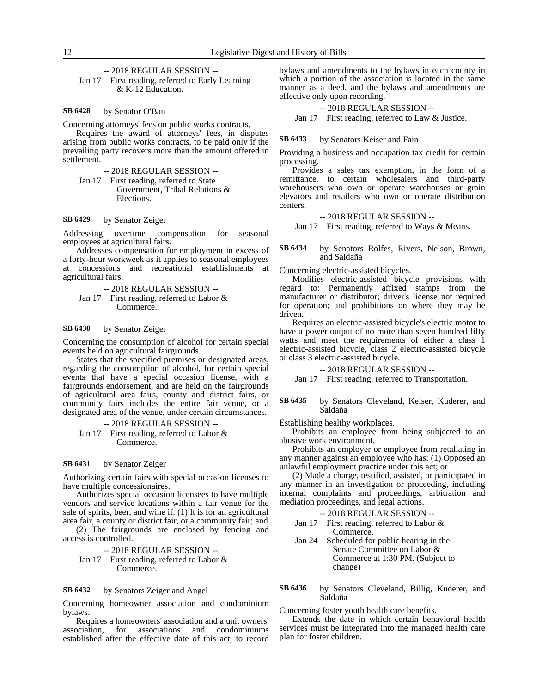### -- 2018 REGULAR SESSION --

Jan 17 First reading, referred to Early Learning & K-12 Education.

#### by Senator O'Ban **SB 6428**

Concerning attorneys' fees on public works contracts.

Requires the award of attorneys' fees, in disputes arising from public works contracts, to be paid only if the prevailing party recovers more than the amount offered in settlement.

-- 2018 REGULAR SESSION --

Jan 17 First reading, referred to State Government, Tribal Relations & Elections.

#### by Senator Zeiger **SB 6429**

Addressing overtime compensation for seasonal employees at agricultural fairs.

Addresses compensation for employment in excess of a forty-hour workweek as it applies to seasonal employees at concessions and recreational establishments at agricultural fairs.

-- 2018 REGULAR SESSION --

Jan 17 First reading, referred to Labor & Commerce.

#### by Senator Zeiger **SB 6430**

Concerning the consumption of alcohol for certain special events held on agricultural fairgrounds.

States that the specified premises or designated areas, regarding the consumption of alcohol, for certain special events that have a special occasion license, with a fairgrounds endorsement, and are held on the fairgrounds of agricultural area fairs, county and district fairs, or community fairs includes the entire fair venue, or a designated area of the venue, under certain circumstances.

-- 2018 REGULAR SESSION --

Jan 17 First reading, referred to Labor & Commerce.

#### by Senator Zeiger **SB 6431**

Authorizing certain fairs with special occasion licenses to have multiple concessionaires.

Authorizes special occasion licensees to have multiple vendors and service locations within a fair venue for the sale of spirits, beer, and wine if: (1) It is for an agricultural area fair, a county or district fair, or a community fair; and

(2) The fairgrounds are enclosed by fencing and access is controlled.

-- 2018 REGULAR SESSION -- Jan 17 First reading, referred to Labor & Commerce.

#### by Senators Zeiger and Angel **SB 6432**

Concerning homeowner association and condominium bylaws.

Requires a homeowners' association and a unit owners' association, for associations and condominiums established after the effective date of this act, to record bylaws and amendments to the bylaws in each county in which a portion of the association is located in the same manner as a deed, and the bylaws and amendments are effective only upon recording.

### -- 2018 REGULAR SESSION --

Jan 17 First reading, referred to Law & Justice.

#### by Senators Keiser and Fain **SB 6433**

Providing a business and occupation tax credit for certain processing.

Provides a sales tax exemption, in the form of a remittance, to certain wholesalers and third-party warehousers who own or operate warehouses or grain elevators and retailers who own or operate distribution centers.

### -- 2018 REGULAR SESSION --

Jan 17 First reading, referred to Ways & Means.

by Senators Rolfes, Rivers, Nelson, Brown, and Saldaña **SB 6434**

Concerning electric-assisted bicycles.

Modifies electric-assisted bicycle provisions with regard to: Permanently affixed stamps from the manufacturer or distributor; driver's license not required for operation; and prohibitions on where they may be driven.

Requires an electric-assisted bicycle's electric motor to have a power output of no more than seven hundred fifty watts and meet the requirements of either a class 1 electric-assisted bicycle, class 2 electric-assisted bicycle or class 3 electric-assisted bicycle.

-- 2018 REGULAR SESSION --

Jan 17 First reading, referred to Transportation.

#### by Senators Cleveland, Keiser, Kuderer, and Saldaña **SB 6435**

Establishing healthy workplaces.

Prohibits an employee from being subjected to an abusive work environment.

Prohibits an employer or employee from retaliating in any manner against an employee who has: (1) Opposed an unlawful employment practice under this act; or

(2) Made a charge, testified, assisted, or participated in any manner in an investigation or proceeding, including internal complaints and proceedings, arbitration and mediation proceedings, and legal actions.

- -- 2018 REGULAR SESSION --
- Jan 17 First reading, referred to Labor & Commerce.
- Jan 24 Scheduled for public hearing in the Senate Committee on Labor & Commerce at 1:30 PM. (Subject to change)

by Senators Cleveland, Billig, Kuderer, and Saldaña **SB 6436**

Concerning foster youth health care benefits.

Extends the date in which certain behavioral health services must be integrated into the managed health care plan for foster children.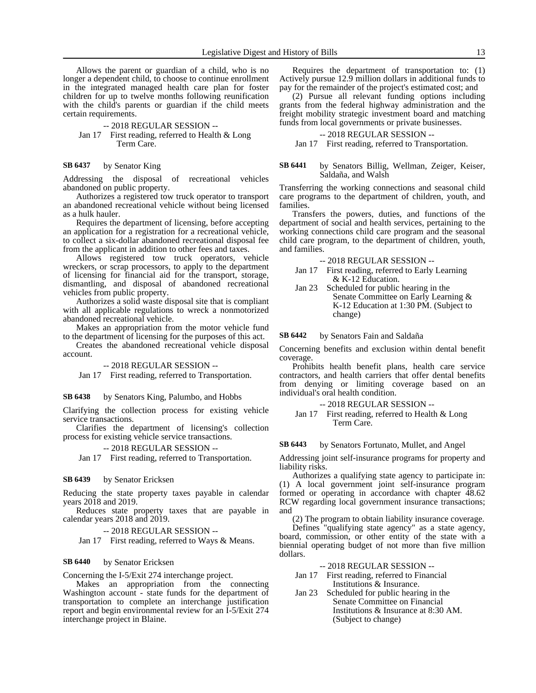Allows the parent or guardian of a child, who is no longer a dependent child, to choose to continue enrollment in the integrated managed health care plan for foster children for up to twelve months following reunification with the child's parents or guardian if the child meets certain requirements.

- -- 2018 REGULAR SESSION --
- Jan 17 First reading, referred to Health & Long Term Care.

by Senator King **SB 6437**

Addressing the disposal of recreational vehicles abandoned on public property.

Authorizes a registered tow truck operator to transport an abandoned recreational vehicle without being licensed as a hulk hauler.

Requires the department of licensing, before accepting an application for a registration for a recreational vehicle, to collect a six-dollar abandoned recreational disposal fee from the applicant in addition to other fees and taxes.

Allows registered tow truck operators, vehicle wreckers, or scrap processors, to apply to the department of licensing for financial aid for the transport, storage, dismantling, and disposal of abandoned recreational vehicles from public property.

Authorizes a solid waste disposal site that is compliant with all applicable regulations to wreck a nonmotorized abandoned recreational vehicle.

Makes an appropriation from the motor vehicle fund to the department of licensing for the purposes of this act.

Creates the abandoned recreational vehicle disposal account.

-- 2018 REGULAR SESSION --

Jan 17 First reading, referred to Transportation.

by Senators King, Palumbo, and Hobbs **SB 6438**

Clarifying the collection process for existing vehicle service transactions.

Clarifies the department of licensing's collection process for existing vehicle service transactions.

-- 2018 REGULAR SESSION --

Jan 17 First reading, referred to Transportation.

#### by Senator Ericksen **SB 6439**

Reducing the state property taxes payable in calendar years 2018 and 2019.

Reduces state property taxes that are payable in calendar years 2018 and 2019.

-- 2018 REGULAR SESSION --

Jan 17 First reading, referred to Ways & Means.

#### by Senator Ericksen **SB 6440**

Concerning the I-5/Exit 274 interchange project.

Makes an appropriation from the connecting Washington account - state funds for the department of transportation to complete an interchange justification report and begin environmental review for an I-5/Exit 274 interchange project in Blaine.

Requires the department of transportation to: (1) Actively pursue 12.9 million dollars in additional funds to pay for the remainder of the project's estimated cost; and

(2) Pursue all relevant funding options including grants from the federal highway administration and the freight mobility strategic investment board and matching funds from local governments or private businesses.

### -- 2018 REGULAR SESSION --

Jan 17 First reading, referred to Transportation.

#### by Senators Billig, Wellman, Zeiger, Keiser, Saldaña, and Walsh **SB 6441**

Transferring the working connections and seasonal child care programs to the department of children, youth, and families.

Transfers the powers, duties, and functions of the department of social and health services, pertaining to the working connections child care program and the seasonal child care program, to the department of children, youth, and families.

-- 2018 REGULAR SESSION --

- Jan 17 First reading, referred to Early Learning & K-12 Education.
- Jan 23 Scheduled for public hearing in the Senate Committee on Early Learning & K-12 Education at 1:30 PM. (Subject to change)

by Senators Fain and Saldaña **SB 6442**

Concerning benefits and exclusion within dental benefit coverage.

Prohibits health benefit plans, health care service contractors, and health carriers that offer dental benefits from denying or limiting coverage based on an individual's oral health condition.

Jan 17 First reading, referred to Health & Long Term Care.

#### by Senators Fortunato, Mullet, and Angel **SB 6443**

Addressing joint self-insurance programs for property and liability risks.

Authorizes a qualifying state agency to participate in: (1) A local government joint self-insurance program formed or operating in accordance with chapter 48.62 RCW regarding local government insurance transactions; and

(2) The program to obtain liability insurance coverage.

Defines "qualifying state agency" as a state agency, board, commission, or other entity of the state with a biennial operating budget of not more than five million dollars.

-- 2018 REGULAR SESSION --

- Jan 17 First reading, referred to Financial Institutions & Insurance.
- Jan 23 Scheduled for public hearing in the Senate Committee on Financial Institutions & Insurance at 8:30 AM. (Subject to change)

<sup>-- 2018</sup> REGULAR SESSION --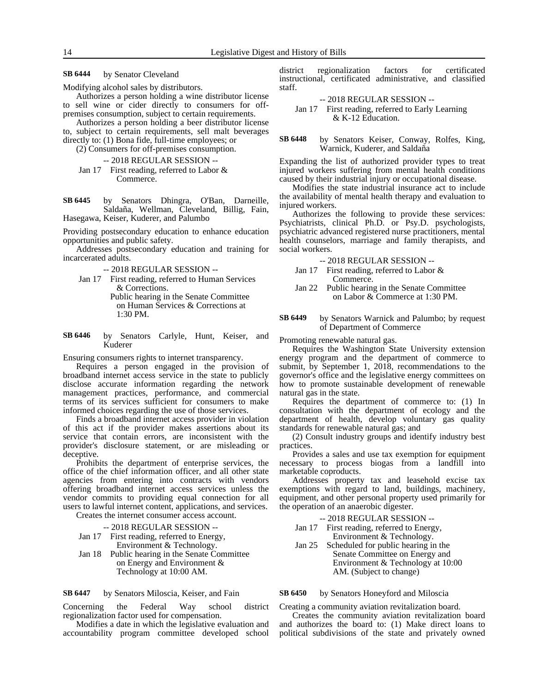by Senator Cleveland **SB 6444**

Modifying alcohol sales by distributors.

Authorizes a person holding a wine distributor license to sell wine or cider directly to consumers for offpremises consumption, subject to certain requirements.

Authorizes a person holding a beer distributor license to, subject to certain requirements, sell malt beverages directly to: (1) Bona fide, full-time employees; or

(2) Consumers for off-premises consumption.

- -- 2018 REGULAR SESSION --
- Jan 17 First reading, referred to Labor & Commerce.

by Senators Dhingra, O'Ban, Darneille, Saldaña, Wellman, Cleveland, Billig, Fain, Hasegawa, Keiser, Kuderer, and Palumbo **SB 6445**

Providing postsecondary education to enhance education opportunities and public safety.

Addresses postsecondary education and training for incarcerated adults.

- -- 2018 REGULAR SESSION --
- Jan 17 First reading, referred to Human Services & Corrections.
	- Public hearing in the Senate Committee on Human Services & Corrections at 1:30 PM.
- by Senators Carlyle, Hunt, Keiser, and Kuderer **SB 6446**

Ensuring consumers rights to internet transparency.

Requires a person engaged in the provision of broadband internet access service in the state to publicly disclose accurate information regarding the network management practices, performance, and commercial terms of its services sufficient for consumers to make informed choices regarding the use of those services.

Finds a broadband internet access provider in violation of this act if the provider makes assertions about its service that contain errors, are inconsistent with the provider's disclosure statement, or are misleading or deceptive.

Prohibits the department of enterprise services, the office of the chief information officer, and all other state agencies from entering into contracts with vendors offering broadband internet access services unless the vendor commits to providing equal connection for all users to lawful internet content, applications, and services.

Creates the internet consumer access account.

-- 2018 REGULAR SESSION -- Jan 17 First reading, referred to Energy, Environment & Technology. Jan 18 Public hearing in the Senate Committee on Energy and Environment & Technology at 10:00 AM.

by Senators Miloscia, Keiser, and Fain **SB 6447**

Concerning the Federal Way school district regionalization factor used for compensation.

Modifies a date in which the legislative evaluation and accountability program committee developed school district regionalization factors for certificated instructional, certificated administrative, and classified staff.

-- 2018 REGULAR SESSION -- Jan 17 First reading, referred to Early Learning & K-12 Education.

by Senators Keiser, Conway, Rolfes, King, Warnick, Kuderer, and Saldaña **SB 6448**

Expanding the list of authorized provider types to treat injured workers suffering from mental health conditions caused by their industrial injury or occupational disease.

Modifies the state industrial insurance act to include the availability of mental health therapy and evaluation to injured workers.

Authorizes the following to provide these services: Psychiatrists, clinical Ph.D. or Psy.D. psychologists, psychiatric advanced registered nurse practitioners, mental health counselors, marriage and family therapists, and social workers.

-- 2018 REGULAR SESSION --

- Jan 17 First reading, referred to Labor & Commerce.
- Jan 22 Public hearing in the Senate Committee on Labor & Commerce at 1:30 PM.
- by Senators Warnick and Palumbo; by request of Department of Commerce **SB 6449**

Promoting renewable natural gas.

Requires the Washington State University extension energy program and the department of commerce to submit, by September 1, 2018, recommendations to the governor's office and the legislative energy committees on how to promote sustainable development of renewable natural gas in the state.

Requires the department of commerce to: (1) In consultation with the department of ecology and the department of health, develop voluntary gas quality standards for renewable natural gas; and

(2) Consult industry groups and identify industry best practices.

Provides a sales and use tax exemption for equipment necessary to process biogas from a landfill into marketable coproducts.

Addresses property tax and leasehold excise tax exemptions with regard to land, buildings, machinery, equipment, and other personal property used primarily for the operation of an anaerobic digester.

-- 2018 REGULAR SESSION --

- Jan 17 First reading, referred to Energy, Environment & Technology.
- Jan 25 Scheduled for public hearing in the Senate Committee on Energy and Environment & Technology at 10:00 AM. (Subject to change)

by Senators Honeyford and Miloscia **SB 6450**

Creating a community aviation revitalization board.

Creates the community aviation revitalization board and authorizes the board to: (1) Make direct loans to political subdivisions of the state and privately owned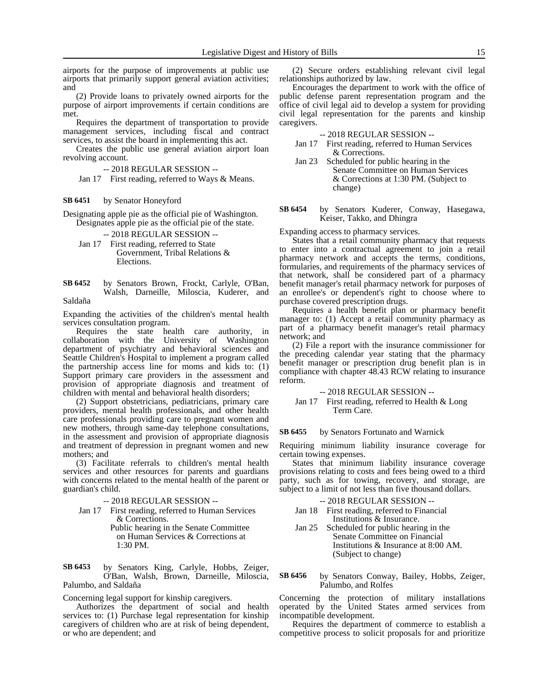airports for the purpose of improvements at public use airports that primarily support general aviation activities; and

(2) Provide loans to privately owned airports for the purpose of airport improvements if certain conditions are met.

Requires the department of transportation to provide management services, including fiscal and contract services, to assist the board in implementing this act.

Creates the public use general aviation airport loan revolving account.

-- 2018 REGULAR SESSION --

Jan 17 First reading, referred to Ways & Means.

#### by Senator Honeyford **SB 6451**

Designating apple pie as the official pie of Washington. Designates apple pie as the official pie of the state.

-- 2018 REGULAR SESSION --

Jan 17 First reading, referred to State Government, Tribal Relations & Elections.

by Senators Brown, Frockt, Carlyle, O'Ban, Walsh, Darneille, Miloscia, Kuderer, and Saldaña **SB 6452**

Expanding the activities of the children's mental health services consultation program.

Requires the state health care authority, in collaboration with the University of Washington department of psychiatry and behavioral sciences and Seattle Children's Hospital to implement a program called the partnership access line for moms and kids to: (1) Support primary care providers in the assessment and provision of appropriate diagnosis and treatment of children with mental and behavioral health disorders;

(2) Support obstetricians, pediatricians, primary care providers, mental health professionals, and other health care professionals providing care to pregnant women and new mothers, through same-day telephone consultations, in the assessment and provision of appropriate diagnosis and treatment of depression in pregnant women and new mothers; and

(3) Facilitate referrals to children's mental health services and other resources for parents and guardians with concerns related to the mental health of the parent or guardian's child.

-- 2018 REGULAR SESSION --

- Jan 17 First reading, referred to Human Services & Corrections.
	- Public hearing in the Senate Committee on Human Services & Corrections at 1:30 PM.

by Senators King, Carlyle, Hobbs, Zeiger, O'Ban, Walsh, Brown, Darneille, Miloscia, Palumbo, and Saldaña **SB 6453**

Concerning legal support for kinship caregivers.

Authorizes the department of social and health services to: (1) Purchase legal representation for kinship caregivers of children who are at risk of being dependent, or who are dependent; and

(2) Secure orders establishing relevant civil legal relationships authorized by law.

Encourages the department to work with the office of public defense parent representation program and the office of civil legal aid to develop a system for providing civil legal representation for the parents and kinship caregivers.

-- 2018 REGULAR SESSION --

Jan 17 First reading, referred to Human Services & Corrections.

Jan 23 Scheduled for public hearing in the Senate Committee on Human Services & Corrections at 1:30 PM. (Subject to change)

by Senators Kuderer, Conway, Hasegawa, Keiser, Takko, and Dhingra **SB 6454**

Expanding access to pharmacy services.

States that a retail community pharmacy that requests to enter into a contractual agreement to join a retail pharmacy network and accepts the terms, conditions, formularies, and requirements of the pharmacy services of that network, shall be considered part of a pharmacy benefit manager's retail pharmacy network for purposes of an enrollee's or dependent's right to choose where to purchase covered prescription drugs.

Requires a health benefit plan or pharmacy benefit manager to: (1) Accept a retail community pharmacy as part of a pharmacy benefit manager's retail pharmacy network; and

(2) File a report with the insurance commissioner for the preceding calendar year stating that the pharmacy benefit manager or prescription drug benefit plan is in compliance with chapter 48.43 RCW relating to insurance reform.

-- 2018 REGULAR SESSION --

Jan 17 First reading, referred to Health & Long Term Care.

by Senators Fortunato and Warnick **SB 6455**

Requiring minimum liability insurance coverage for certain towing expenses.

States that minimum liability insurance coverage provisions relating to costs and fees being owed to a third party, such as for towing, recovery, and storage, are subject to a limit of not less than five thousand dollars.

- -- 2018 REGULAR SESSION --
- Jan 18 First reading, referred to Financial Institutions & Insurance.
- Jan 25 Scheduled for public hearing in the Senate Committee on Financial Institutions & Insurance at 8:00 AM. (Subject to change)

by Senators Conway, Bailey, Hobbs, Zeiger, Palumbo, and Rolfes **SB 6456**

Concerning the protection of military installations operated by the United States armed services from incompatible development.

Requires the department of commerce to establish a competitive process to solicit proposals for and prioritize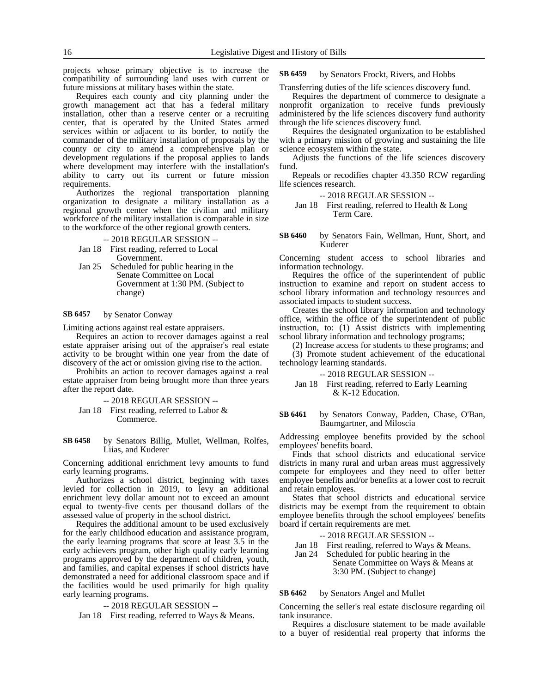projects whose primary objective is to increase the compatibility of surrounding land uses with current or future missions at military bases within the state.

Requires each county and city planning under the growth management act that has a federal military installation, other than a reserve center or a recruiting center, that is operated by the United States armed services within or adjacent to its border, to notify the commander of the military installation of proposals by the county or city to amend a comprehensive plan or development regulations if the proposal applies to lands where development may interfere with the installation's ability to carry out its current or future mission requirements.

Authorizes the regional transportation planning organization to designate a military installation as a regional growth center when the civilian and military workforce of the military installation is comparable in size to the workforce of the other regional growth centers.

- -- 2018 REGULAR SESSION --
- Jan 18 First reading, referred to Local Government.
- Jan 25 Scheduled for public hearing in the Senate Committee on Local Government at 1:30 PM. (Subject to change)

#### by Senator Conway **SB 6457**

Limiting actions against real estate appraisers.

Requires an action to recover damages against a real estate appraiser arising out of the appraiser's real estate activity to be brought within one year from the date of discovery of the act or omission giving rise to the action.

Prohibits an action to recover damages against a real estate appraiser from being brought more than three years after the report date.

-- 2018 REGULAR SESSION --

Jan 18 First reading, referred to Labor & Commerce.

by Senators Billig, Mullet, Wellman, Rolfes, Liias, and Kuderer **SB 6458**

Concerning additional enrichment levy amounts to fund early learning programs.

Authorizes a school district, beginning with taxes levied for collection in 2019, to levy an additional enrichment levy dollar amount not to exceed an amount equal to twenty-five cents per thousand dollars of the assessed value of property in the school district.

Requires the additional amount to be used exclusively for the early childhood education and assistance program, the early learning programs that score at least 3.5 in the early achievers program, other high quality early learning programs approved by the department of children, youth, and families, and capital expenses if school districts have demonstrated a need for additional classroom space and if the facilities would be used primarily for high quality early learning programs.

### -- 2018 REGULAR SESSION --

Jan 18 First reading, referred to Ways & Means.

by Senators Frockt, Rivers, and Hobbs **SB 6459**

Transferring duties of the life sciences discovery fund.

Requires the department of commerce to designate a nonprofit organization to receive funds previously administered by the life sciences discovery fund authority through the life sciences discovery fund.

Requires the designated organization to be established with a primary mission of growing and sustaining the life science ecosystem within the state.

Adjusts the functions of the life sciences discovery fund.

Repeals or recodifies chapter 43.350 RCW regarding life sciences research.

### -- 2018 REGULAR SESSION --

Jan 18 First reading, referred to Health & Long Term Care.

by Senators Fain, Wellman, Hunt, Short, and Kuderer **SB 6460**

Concerning student access to school libraries and information technology.

Requires the office of the superintendent of public instruction to examine and report on student access to school library information and technology resources and associated impacts to student success.

Creates the school library information and technology office, within the office of the superintendent of public instruction, to: (1) Assist districts with implementing school library information and technology programs;

(2) Increase access for students to these programs; and

(3) Promote student achievement of the educational technology learning standards.

-- 2018 REGULAR SESSION --

Jan 18 First reading, referred to Early Learning & K-12 Education.

by Senators Conway, Padden, Chase, O'Ban, Baumgartner, and Miloscia **SB 6461**

Addressing employee benefits provided by the school employees' benefits board.

Finds that school districts and educational service districts in many rural and urban areas must aggressively compete for employees and they need to offer better employee benefits and/or benefits at a lower cost to recruit and retain employees.

States that school districts and educational service districts may be exempt from the requirement to obtain employee benefits through the school employees' benefits board if certain requirements are met.

-- 2018 REGULAR SESSION --

Jan 18 First reading, referred to Ways & Means.

Jan 24 Scheduled for public hearing in the

Senate Committee on Ways & Means at 3:30 PM. (Subject to change)

by Senators Angel and Mullet **SB 6462**

Concerning the seller's real estate disclosure regarding oil tank insurance.

Requires a disclosure statement to be made available to a buyer of residential real property that informs the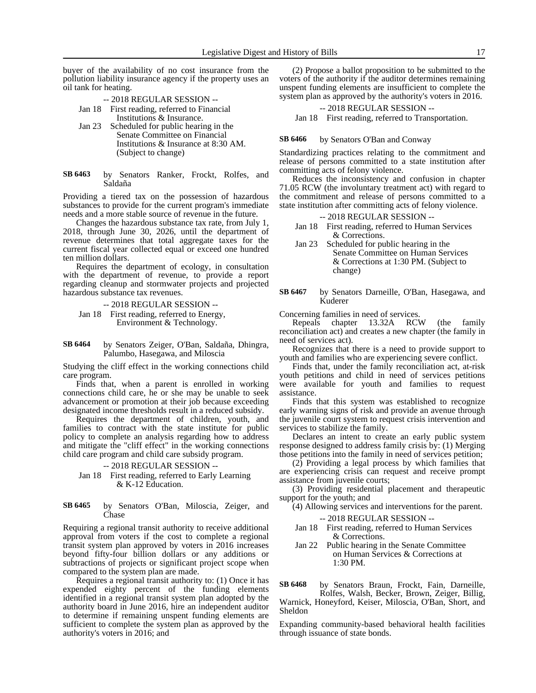buyer of the availability of no cost insurance from the pollution liability insurance agency if the property uses an oil tank for heating.

### -- 2018 REGULAR SESSION --

- Jan 18 First reading, referred to Financial Institutions & Insurance.
- Jan 23 Scheduled for public hearing in the Senate Committee on Financial Institutions & Insurance at 8:30 AM. (Subject to change)
- by Senators Ranker, Frockt, Rolfes, and Saldaña **SB 6463**

Providing a tiered tax on the possession of hazardous substances to provide for the current program's immediate needs and a more stable source of revenue in the future.

Changes the hazardous substance tax rate, from July 1, 2018, through June 30, 2026, until the department of revenue determines that total aggregate taxes for the current fiscal year collected equal or exceed one hundred ten million dollars.

Requires the department of ecology, in consultation with the department of revenue, to provide a report regarding cleanup and stormwater projects and projected hazardous substance tax revenues.

-- 2018 REGULAR SESSION --

- Jan 18 First reading, referred to Energy, Environment & Technology.
- by Senators Zeiger, O'Ban, Saldaña, Dhingra, Palumbo, Hasegawa, and Miloscia **SB 6464**

Studying the cliff effect in the working connections child care program.

Finds that, when a parent is enrolled in working connections child care, he or she may be unable to seek advancement or promotion at their job because exceeding designated income thresholds result in a reduced subsidy.

Requires the department of children, youth, and families to contract with the state institute for public policy to complete an analysis regarding how to address and mitigate the "cliff effect" in the working connections child care program and child care subsidy program.

### -- 2018 REGULAR SESSION --

Jan 18 First reading, referred to Early Learning & K-12 Education.

#### by Senators O'Ban, Miloscia, Zeiger, and Chase **SB 6465**

Requiring a regional transit authority to receive additional approval from voters if the cost to complete a regional transit system plan approved by voters in 2016 increases beyond fifty-four billion dollars or any additions or subtractions of projects or significant project scope when compared to the system plan are made.

Requires a regional transit authority to: (1) Once it has expended eighty percent of the funding elements identified in a regional transit system plan adopted by the authority board in June 2016, hire an independent auditor to determine if remaining unspent funding elements are sufficient to complete the system plan as approved by the authority's voters in 2016; and

(2) Propose a ballot proposition to be submitted to the voters of the authority if the auditor determines remaining unspent funding elements are insufficient to complete the system plan as approved by the authority's voters in 2016.

### -- 2018 REGULAR SESSION --

Jan 18 First reading, referred to Transportation.

by Senators O'Ban and Conway **SB 6466**

Standardizing practices relating to the commitment and release of persons committed to a state institution after committing acts of felony violence.

Reduces the inconsistency and confusion in chapter 71.05 RCW (the involuntary treatment act) with regard to the commitment and release of persons committed to a state institution after committing acts of felony violence.

### -- 2018 REGULAR SESSION --

- Jan 18 First reading, referred to Human Services & Corrections.
- Jan 23 Scheduled for public hearing in the Senate Committee on Human Services & Corrections at 1:30 PM. (Subject to change)
- by Senators Darneille, O'Ban, Hasegawa, and Kuderer **SB 6467**

Concerning families in need of services.

Repeals chapter 13.32A RCW (the family reconciliation act) and creates a new chapter (the family in need of services act).

Recognizes that there is a need to provide support to youth and families who are experiencing severe conflict.

Finds that, under the family reconciliation act, at-risk youth petitions and child in need of services petitions were available for youth and families to request assistance.

Finds that this system was established to recognize early warning signs of risk and provide an avenue through the juvenile court system to request crisis intervention and services to stabilize the family.

Declares an intent to create an early public system response designed to address family crisis by: (1) Merging those petitions into the family in need of services petition;

(2) Providing a legal process by which families that are experiencing crisis can request and receive prompt assistance from juvenile courts;

(3) Providing residential placement and therapeutic support for the youth; and

(4) Allowing services and interventions for the parent.

-- 2018 REGULAR SESSION --

- Jan 18 First reading, referred to Human Services & Corrections.
- Jan 22 Public hearing in the Senate Committee on Human Services & Corrections at 1:30 PM.

by Senators Braun, Frockt, Fain, Darneille, Rolfes, Walsh, Becker, Brown, Zeiger, Billig, **SB 6468**

Warnick, Honeyford, Keiser, Miloscia, O'Ban, Short, and Sheldon

Expanding community-based behavioral health facilities through issuance of state bonds.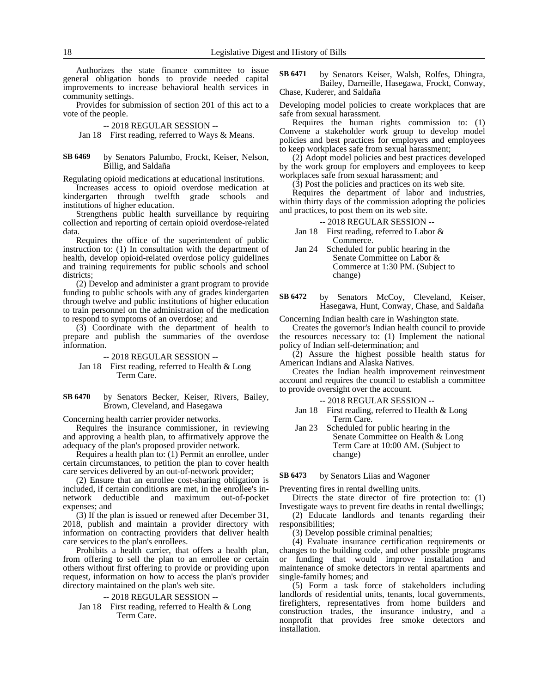Authorizes the state finance committee to issue general obligation bonds to provide needed capital improvements to increase behavioral health services in community settings.

Provides for submission of section 201 of this act to a vote of the people.

- -- 2018 REGULAR SESSION --
- Jan 18 First reading, referred to Ways & Means.

#### by Senators Palumbo, Frockt, Keiser, Nelson, Billig, and Saldaña **SB 6469**

Regulating opioid medications at educational institutions.

Increases access to opioid overdose medication at kindergarten through twelfth grade schools and institutions of higher education.

Strengthens public health surveillance by requiring collection and reporting of certain opioid overdose-related data.

Requires the office of the superintendent of public instruction to: (1) In consultation with the department of health, develop opioid-related overdose policy guidelines and training requirements for public schools and school districts;

(2) Develop and administer a grant program to provide funding to public schools with any of grades kindergarten through twelve and public institutions of higher education to train personnel on the administration of the medication to respond to symptoms of an overdose; and

(3) Coordinate with the department of health to prepare and publish the summaries of the overdose information.

- -- 2018 REGULAR SESSION --
- Jan 18 First reading, referred to Health & Long Term Care.
- by Senators Becker, Keiser, Rivers, Bailey, Brown, Cleveland, and Hasegawa **SB 6470**

Concerning health carrier provider networks.

Requires the insurance commissioner, in reviewing and approving a health plan, to affirmatively approve the adequacy of the plan's proposed provider network.

Requires a health plan to: (1) Permit an enrollee, under certain circumstances, to petition the plan to cover health care services delivered by an out-of-network provider;

(2) Ensure that an enrollee cost-sharing obligation is included, if certain conditions are met, in the enrollee's innetwork deductible and maximum out-of-pocket expenses; and

(3) If the plan is issued or renewed after December 31, 2018, publish and maintain a provider directory with information on contracting providers that deliver health care services to the plan's enrollees.

Prohibits a health carrier, that offers a health plan, from offering to sell the plan to an enrollee or certain others without first offering to provide or providing upon request, information on how to access the plan's provider directory maintained on the plan's web site.

### -- 2018 REGULAR SESSION --

Jan 18 First reading, referred to Health & Long Term Care.

by Senators Keiser, Walsh, Rolfes, Dhingra, Bailey, Darneille, Hasegawa, Frockt, Conway, Chase, Kuderer, and Saldaña **SB 6471**

Developing model policies to create workplaces that are safe from sexual harassment.

Requires the human rights commission to: (1) Convene a stakeholder work group to develop model policies and best practices for employers and employees to keep workplaces safe from sexual harassment;

(2) Adopt model policies and best practices developed by the work group for employers and employees to keep workplaces safe from sexual harassment; and

(3) Post the policies and practices on its web site.

Requires the department of labor and industries, within thirty days of the commission adopting the policies and practices, to post them on its web site.

### -- 2018 REGULAR SESSION --

Jan 18 First reading, referred to Labor & Commerce.

- Jan 24 Scheduled for public hearing in the Senate Committee on Labor & Commerce at 1:30 PM. (Subject to change)
- by Senators McCoy, Cleveland, Keiser, Hasegawa, Hunt, Conway, Chase, and Saldaña **SB 6472**

Concerning Indian health care in Washington state.

Creates the governor's Indian health council to provide the resources necessary to: (1) Implement the national policy of Indian self-determination; and

(2) Assure the highest possible health status for American Indians and Alaska Natives.

Creates the Indian health improvement reinvestment account and requires the council to establish a committee to provide oversight over the account.

-- 2018 REGULAR SESSION --

- Jan 18 First reading, referred to Health & Long Term Care.
- Jan 23 Scheduled for public hearing in the Senate Committee on Health & Long Term Care at 10:00 AM. (Subject to change)

by Senators Liias and Wagoner **SB 6473**

Preventing fires in rental dwelling units.

Directs the state director of fire protection to: (1)

Investigate ways to prevent fire deaths in rental dwellings; (2) Educate landlords and tenants regarding their

responsibilities; (3) Develop possible criminal penalties;

(4) Evaluate insurance certification requirements or changes to the building code, and other possible programs or funding that would improve installation and maintenance of smoke detectors in rental apartments and single-family homes; and

(5) Form a task force of stakeholders including landlords of residential units, tenants, local governments, firefighters, representatives from home builders and construction trades, the insurance industry, and a nonprofit that provides free smoke detectors and installation.